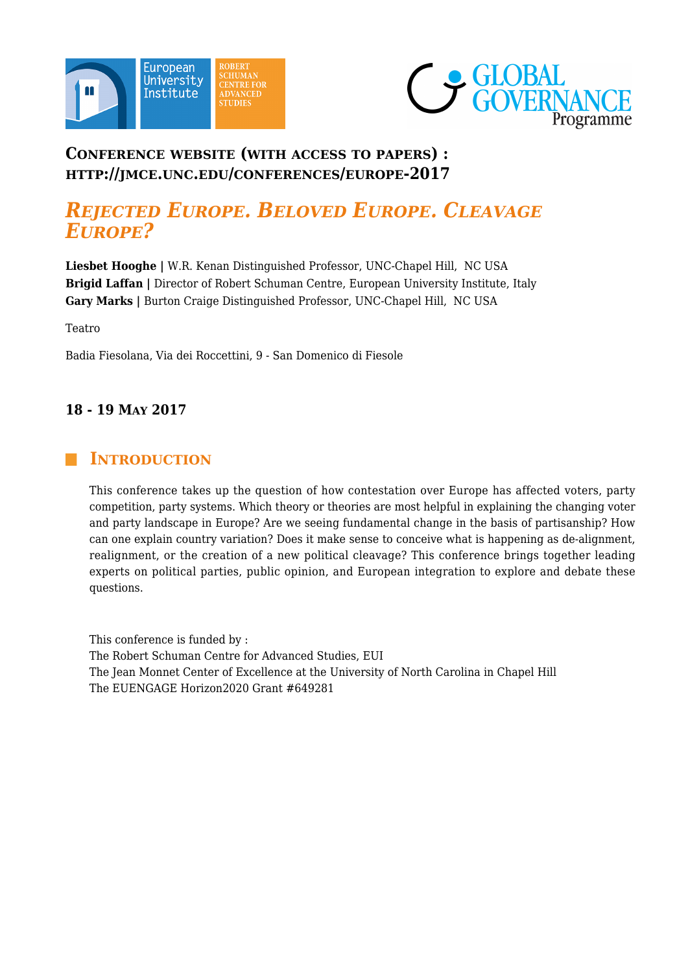



# **CONFERENCE WEBSITE (WITH ACCESS TO PAPERS) : HTTP://JMCE.UNC.EDU/CONFERENCES/EUROPE-2017**

# *REJECTED EUROPE. BELOVED EUROPE. CLEAVAGE EUROPE?*

**Liesbet Hooghe |** W.R. Kenan Distinguished Professor, UNC-Chapel Hill, NC USA **Brigid Laffan |** Director of Robert Schuman Centre, European University Institute, Italy **Gary Marks |** Burton Craige Distinguished Professor, UNC-Chapel Hill, NC USA

Teatro

Badia Fiesolana, Via dei Roccettini, 9 - San Domenico di Fiesole

#### **18 - 19 MAY 2017**

### **INTRODUCTION**

This conference takes up the question of how contestation over Europe has affected voters, party competition, party systems. Which theory or theories are most helpful in explaining the changing voter and party landscape in Europe? Are we seeing fundamental change in the basis of partisanship? How can one explain country variation? Does it make sense to conceive what is happening as de-alignment, realignment, or the creation of a new political cleavage? This conference brings together leading experts on political parties, public opinion, and European integration to explore and debate these questions.

This conference is funded by : The Robert Schuman Centre for Advanced Studies, EUI The Jean Monnet Center of Excellence at the University of North Carolina in Chapel Hill The EUENGAGE Horizon2020 Grant #649281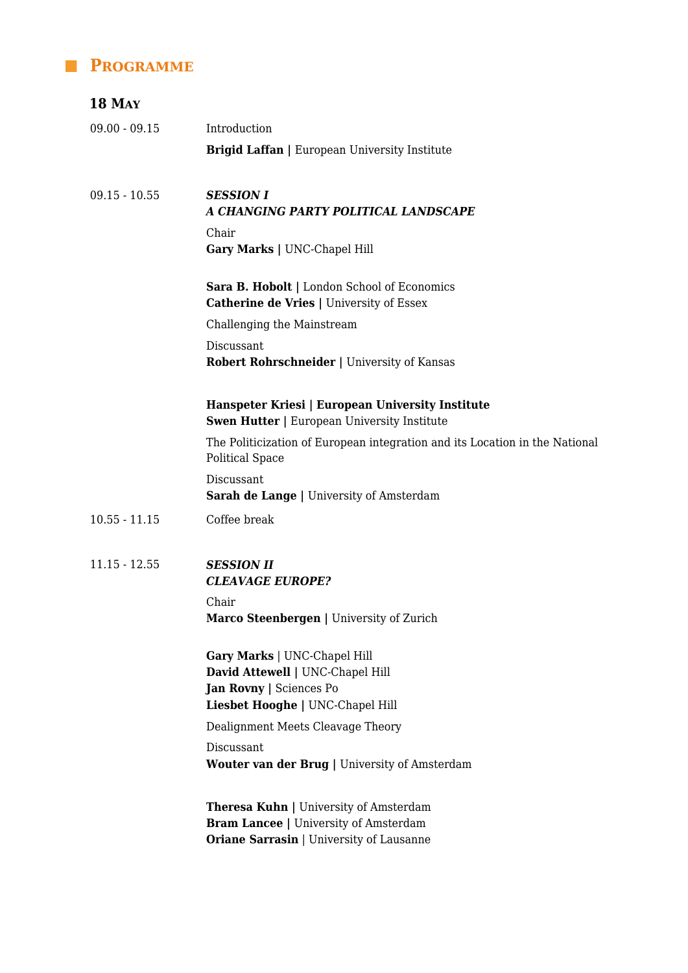# **PROGRAMME**

| <b>18 MAY</b>   |                                                                                                                                                  |
|-----------------|--------------------------------------------------------------------------------------------------------------------------------------------------|
| $09.00 - 09.15$ | Introduction                                                                                                                                     |
|                 | <b>Brigid Laffan</b>   European University Institute                                                                                             |
| $09.15 - 10.55$ | <b>SESSION I</b><br>A CHANGING PARTY POLITICAL LANDSCAPE                                                                                         |
|                 | Chair<br>Gary Marks   UNC-Chapel Hill                                                                                                            |
|                 | Sara B. Hobolt   London School of Economics<br><b>Catherine de Vries   University of Essex</b>                                                   |
|                 | Challenging the Mainstream                                                                                                                       |
|                 | Discussant<br><b>Robert Rohrschneider   University of Kansas</b>                                                                                 |
|                 | Hanspeter Kriesi   European University Institute<br><b>Swen Hutter   European University Institute</b>                                           |
|                 | The Politicization of European integration and its Location in the National<br><b>Political Space</b>                                            |
|                 | Discussant<br><b>Sarah de Lange   University of Amsterdam</b>                                                                                    |
| $10.55 - 11.15$ | Coffee break                                                                                                                                     |
| $11.15 - 12.55$ | <b>SESSION II</b><br><b>CLEAVAGE EUROPE?</b>                                                                                                     |
|                 | Chair<br>Marco Steenbergen   University of Zurich                                                                                                |
|                 | Gary Marks   UNC-Chapel Hill<br>David Attewell   UNC-Chapel Hill<br>Jan Rovny   Sciences Po<br>Liesbet Hooghe   UNC-Chapel Hill                  |
|                 | Dealignment Meets Cleavage Theory                                                                                                                |
|                 | Discussant<br><b>Wouter van der Brug</b>   University of Amsterdam                                                                               |
|                 | <b>Theresa Kuhn</b>   University of Amsterdam<br><b>Bram Lancee</b>   University of Amsterdam<br><b>Oriane Sarrasin   University of Lausanne</b> |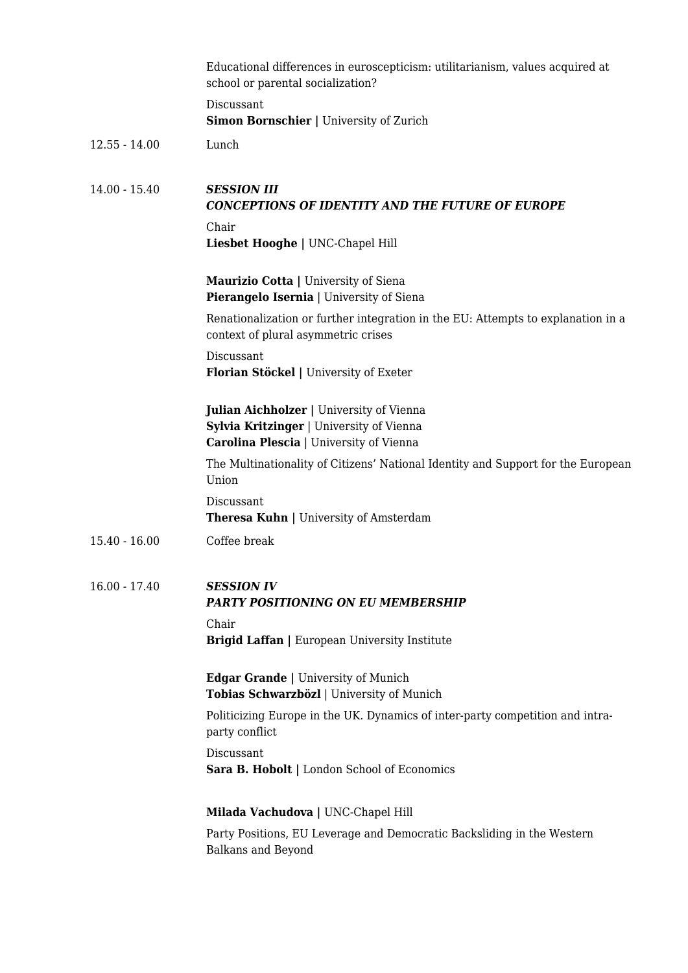|                 | Educational differences in euroscepticism: utilitarianism, values acquired at<br>school or parental socialization?                     |
|-----------------|----------------------------------------------------------------------------------------------------------------------------------------|
|                 | Discussant<br>Simon Bornschier   University of Zurich                                                                                  |
| $12.55 - 14.00$ | Lunch                                                                                                                                  |
| $14.00 - 15.40$ | <b>SESSION III</b><br><b>CONCEPTIONS OF IDENTITY AND THE FUTURE OF EUROPE</b>                                                          |
|                 | Chair<br>Liesbet Hooghe   UNC-Chapel Hill                                                                                              |
|                 | Maurizio Cotta   University of Siena<br>Pierangelo Isernia   University of Siena                                                       |
|                 | Renationalization or further integration in the EU: Attempts to explanation in a<br>context of plural asymmetric crises                |
|                 | Discussant<br>Florian Stöckel   University of Exeter                                                                                   |
|                 | <b>Julian Aichholzer</b>   University of Vienna<br>Sylvia Kritzinger   University of Vienna<br>Carolina Plescia   University of Vienna |
|                 | The Multinationality of Citizens' National Identity and Support for the European<br>Union                                              |
|                 | Discussant<br><b>Theresa Kuhn   University of Amsterdam</b>                                                                            |
| $15.40 - 16.00$ | Coffee break                                                                                                                           |
| $16.00 - 17.40$ | <b>SESSION IV</b><br><b>PARTY POSITIONING ON EU MEMBERSHIP</b>                                                                         |
|                 | Chair<br><b>Brigid Laffan</b>   European University Institute                                                                          |
|                 | <b>Edgar Grande</b>   University of Munich<br>Tobias Schwarzbözl   University of Munich                                                |
|                 | Politicizing Europe in the UK. Dynamics of inter-party competition and intra-<br>party conflict                                        |
|                 | Discussant<br>Sara B. Hobolt   London School of Economics                                                                              |
|                 | Milada Vachudova   UNC-Chapel Hill                                                                                                     |
|                 | Party Positions, EU Leverage and Democratic Backsliding in the Western<br>Balkans and Beyond                                           |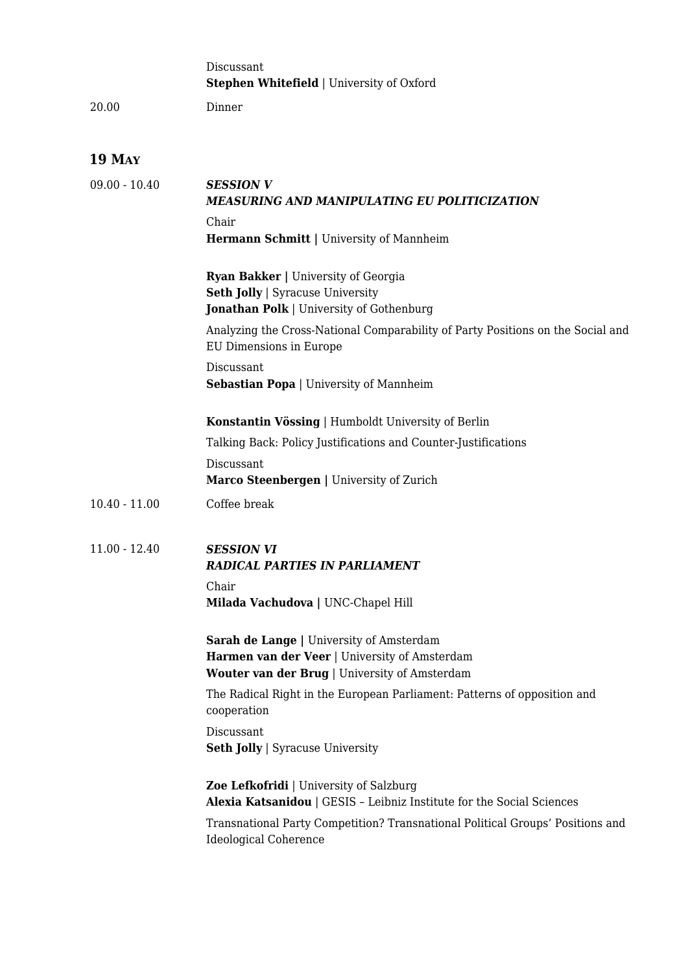|                 | Discussant<br><b>Stephen Whitefield   University of Oxford</b>                                                                                    |  |  |
|-----------------|---------------------------------------------------------------------------------------------------------------------------------------------------|--|--|
| 20.00           | Dinner                                                                                                                                            |  |  |
| <b>19 MAY</b>   |                                                                                                                                                   |  |  |
| $09.00 - 10.40$ | <b>SESSION V</b><br><b>MEASURING AND MANIPULATING EU POLITICIZATION</b>                                                                           |  |  |
|                 | Chair<br>Hermann Schmitt   University of Mannheim                                                                                                 |  |  |
|                 | <b>Ryan Bakker   University of Georgia</b><br><b>Seth Jolly   Syracuse University</b><br>Jonathan Polk   University of Gothenburg                 |  |  |
|                 | Analyzing the Cross-National Comparability of Party Positions on the Social and<br>EU Dimensions in Europe                                        |  |  |
|                 | Discussant<br><b>Sebastian Popa</b>   University of Mannheim                                                                                      |  |  |
|                 | Konstantin Vössing   Humboldt University of Berlin                                                                                                |  |  |
|                 | Talking Back: Policy Justifications and Counter-Justifications                                                                                    |  |  |
|                 | Discussant<br>Marco Steenbergen   University of Zurich                                                                                            |  |  |
| $10.40 - 11.00$ | Coffee break                                                                                                                                      |  |  |
| $11.00 - 12.40$ | <b>SESSION VI</b><br><b>RADICAL PARTIES IN PARLIAMENT</b>                                                                                         |  |  |
|                 | Chair<br>Milada Vachudova   UNC-Chapel Hill                                                                                                       |  |  |
|                 | Sarah de Lange   University of Amsterdam<br>Harmen van der Veer   University of Amsterdam<br><b>Wouter van der Brug</b>   University of Amsterdam |  |  |
|                 | The Radical Right in the European Parliament: Patterns of opposition and<br>cooperation                                                           |  |  |
|                 | Discussant<br><b>Seth Jolly   Syracuse University</b>                                                                                             |  |  |
|                 | <b>Zoe Lefkofridi</b>   University of Salzburg<br>Alexia Katsanidou   GESIS - Leibniz Institute for the Social Sciences                           |  |  |
|                 | Transnational Party Competition? Transnational Political Groups' Positions and<br><b>Ideological Coherence</b>                                    |  |  |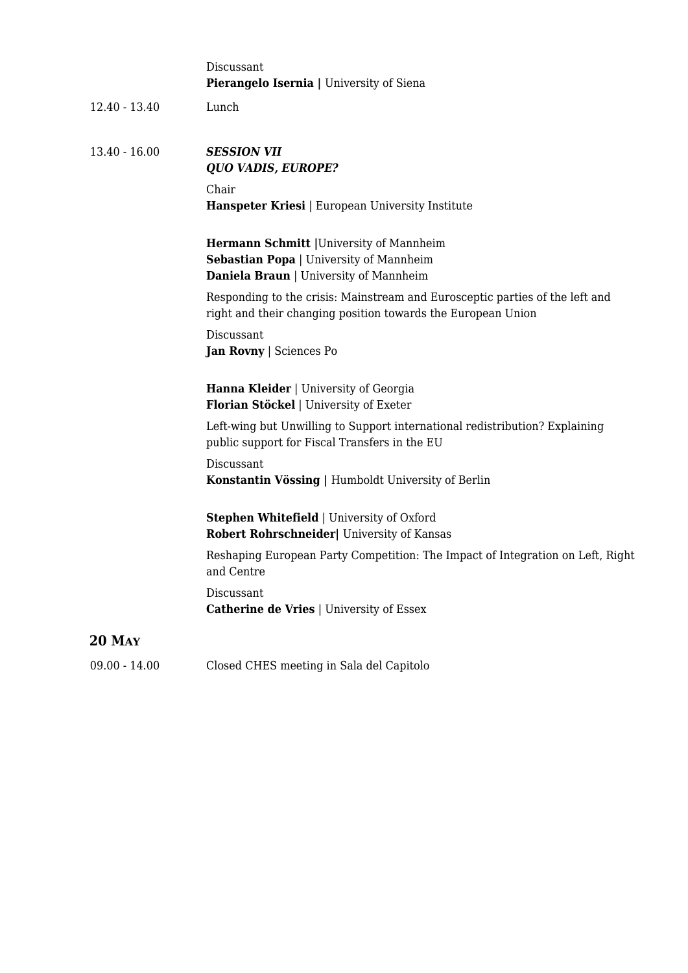|                 | Discussant<br><b>Pierangelo Isernia</b>   University of Siena                                                                                |
|-----------------|----------------------------------------------------------------------------------------------------------------------------------------------|
| $12.40 - 13.40$ | Lunch                                                                                                                                        |
| $13.40 - 16.00$ | <b>SESSION VII</b><br><b>QUO VADIS, EUROPE?</b>                                                                                              |
|                 | Chair<br>Hanspeter Kriesi   European University Institute                                                                                    |
|                 | <b>Hermann Schmitt</b>   University of Mannheim<br>Sebastian Popa   University of Mannheim<br>Daniela Braun   University of Mannheim         |
|                 | Responding to the crisis: Mainstream and Eurosceptic parties of the left and<br>right and their changing position towards the European Union |
|                 | Discussant<br>Jan Rovny   Sciences Po                                                                                                        |
|                 | Hanna Kleider   University of Georgia<br>Florian Stöckel   University of Exeter                                                              |
|                 | Left-wing but Unwilling to Support international redistribution? Explaining<br>public support for Fiscal Transfers in the EU                 |
|                 | Discussant<br>Konstantin Vössing   Humboldt University of Berlin                                                                             |
|                 | <b>Stephen Whitefield   University of Oxford</b><br>Robert Rohrschneider  University of Kansas                                               |
|                 | Reshaping European Party Competition: The Impact of Integration on Left, Right<br>and Centre                                                 |
|                 | Discussant<br><b>Catherine de Vries   University of Essex</b>                                                                                |
| <b>20 MAY</b>   |                                                                                                                                              |
| $09.00 - 14.00$ | Closed CHES meeting in Sala del Capitolo                                                                                                     |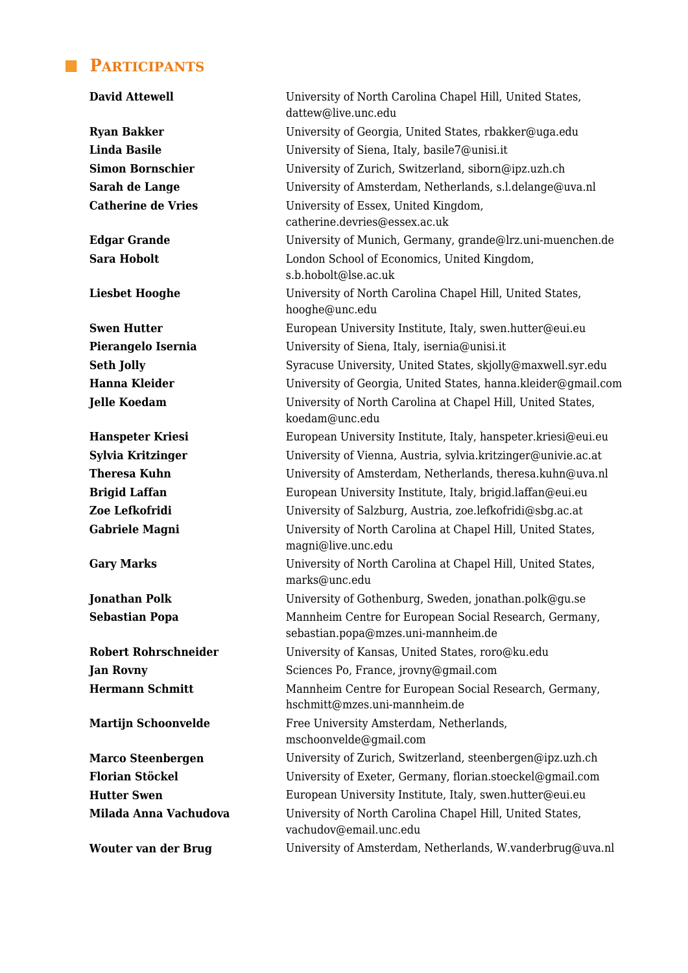#### **PARTICIPANTS**

**David Attewell** University of North Carolina Chapel Hill, United States, dattew@live.unc.edu **Ryan Bakker** University of Georgia, United States, rbakker@uga.edu **Linda Basile** University of Siena, Italy, basile7@unisi.it **Simon Bornschier** University of Zurich, Switzerland, siborn@ipz.uzh.ch **Sarah de Lange** University of Amsterdam, Netherlands, s.l.delange@uva.nl Catherine de Vries **University of Essex**, United Kingdom, catherine.devries@essex.ac.uk **Edgar Grande** University of Munich, Germany, grande@lrz.uni-muenchen.de **Sara Hobolt** London School of Economics, United Kingdom, s.b.hobolt@lse.ac.uk **Liesbet Hooghe** University of North Carolina Chapel Hill, United States, hooghe@unc.edu **Swen Hutter** European University Institute, Italy, swen.hutter@eui.eu **Pierangelo Isernia** University of Siena, Italy, isernia@unisi.it **Seth Jolly** Syracuse University, United States, skjolly@maxwell.syr.edu **Hanna Kleider University of Georgia, United States, hanna.kleider@gmail.com Jelle Koedam** University of North Carolina at Chapel Hill, United States, koedam@unc.edu **Hanspeter Kriesi** European University Institute, Italy, hanspeter.kriesi@eui.eu **Sylvia Kritzinger** University of Vienna, Austria, sylvia.kritzinger@univie.ac.at **Theresa Kuhn** University of Amsterdam, Netherlands, theresa.kuhn@uva.nl **Brigid Laffan** European University Institute, Italy, brigid.laffan@eui.eu **Zoe Lefkofridi** University of Salzburg, Austria, zoe.lefkofridi@sbg.ac.at Gabriele Magni **Magni** University of North Carolina at Chapel Hill, United States, magni@live.unc.edu **Gary Marks** University of North Carolina at Chapel Hill, United States, marks@unc.edu **Jonathan Polk** University of Gothenburg, Sweden, jonathan.polk@gu.se **Sebastian Popa** Mannheim Centre for European Social Research, Germany, sebastian.popa@mzes.uni-mannheim.de **Robert Rohrschneider** University of Kansas, United States, roro@ku.edu **Jan Rovny** Sciences Po, France, jrovny@gmail.com **Hermann Schmitt** Mannheim Centre for European Social Research, Germany, hschmitt@mzes.uni-mannheim.de **Martijn Schoonvelde** Free University Amsterdam, Netherlands, mschoonvelde@gmail.com **Marco Steenbergen** University of Zurich, Switzerland, steenbergen@ipz.uzh.ch **Florian Stöckel** University of Exeter, Germany, florian.stoeckel@gmail.com **Hutter Swen** European University Institute, Italy, swen.hutter@eui.eu **Milada Anna Vachudova** University of North Carolina Chapel Hill, United States, vachudov@email.unc.edu **Wouter van der Brug** University of Amsterdam, Netherlands, W.vanderbrug@uva.nl